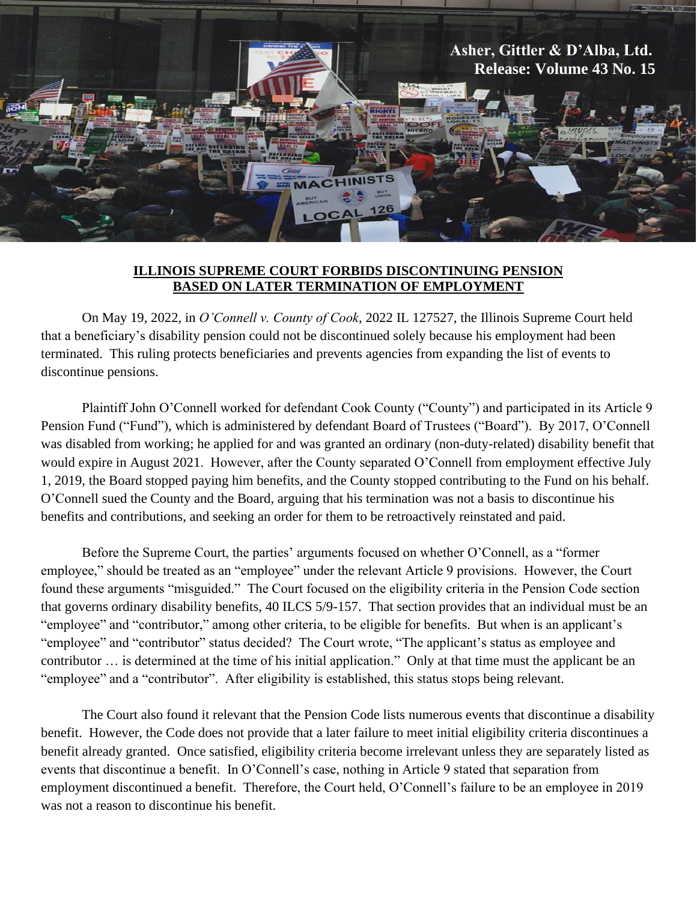

## **ILLINOIS SUPREME COURT FORBIDS DISCONTINUING PENSION BASED ON LATER TERMINATION OF EMPLOYMENT**

On May 19, 2022, in *O'Connell v. County of Cook*, 2022 IL 127527, the Illinois Supreme Court held that a beneficiary's disability pension could not be discontinued solely because his employment had been terminated. This ruling protects beneficiaries and prevents agencies from expanding the list of events to discontinue pensions.

Plaintiff John O'Connell worked for defendant Cook County ("County") and participated in its Article 9 Pension Fund ("Fund"), which is administered by defendant Board of Trustees ("Board"). By 2017, O'Connell was disabled from working; he applied for and was granted an ordinary (non-duty-related) disability benefit that would expire in August 2021. However, after the County separated O'Connell from employment effective July 1, 2019, the Board stopped paying him benefits, and the County stopped contributing to the Fund on his behalf. O'Connell sued the County and the Board, arguing that his termination was not a basis to discontinue his benefits and contributions, and seeking an order for them to be retroactively reinstated and paid.

Before the Supreme Court, the parties' arguments focused on whether O'Connell, as a "former employee," should be treated as an "employee" under the relevant Article 9 provisions. However, the Court found these arguments "misguided." The Court focused on the eligibility criteria in the Pension Code section that governs ordinary disability benefits, 40 ILCS 5/9-157. That section provides that an individual must be an "employee" and "contributor," among other criteria, to be eligible for benefits. But when is an applicant's "employee" and "contributor" status decided? The Court wrote, "The applicant's status as employee and contributor … is determined at the time of his initial application." Only at that time must the applicant be an "employee" and a "contributor". After eligibility is established, this status stops being relevant.

The Court also found it relevant that the Pension Code lists numerous events that discontinue a disability benefit. However, the Code does not provide that a later failure to meet initial eligibility criteria discontinues a benefit already granted. Once satisfied, eligibility criteria become irrelevant unless they are separately listed as events that discontinue a benefit. In O'Connell's case, nothing in Article 9 stated that separation from employment discontinued a benefit. Therefore, the Court held, O'Connell's failure to be an employee in 2019 was not a reason to discontinue his benefit.